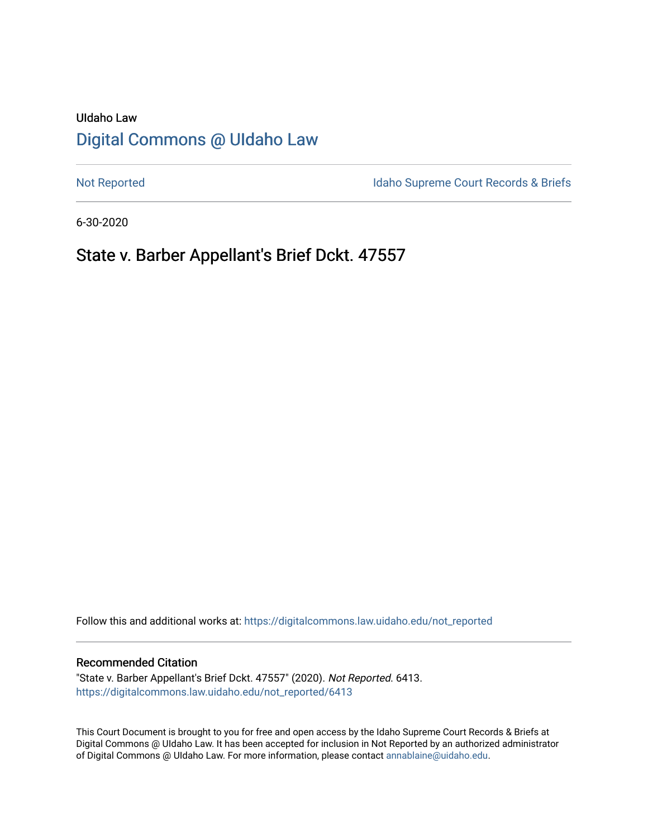# UIdaho Law [Digital Commons @ UIdaho Law](https://digitalcommons.law.uidaho.edu/)

[Not Reported](https://digitalcommons.law.uidaho.edu/not_reported) **Idaho Supreme Court Records & Briefs** 

6-30-2020

# State v. Barber Appellant's Brief Dckt. 47557

Follow this and additional works at: [https://digitalcommons.law.uidaho.edu/not\\_reported](https://digitalcommons.law.uidaho.edu/not_reported?utm_source=digitalcommons.law.uidaho.edu%2Fnot_reported%2F6413&utm_medium=PDF&utm_campaign=PDFCoverPages) 

### Recommended Citation

"State v. Barber Appellant's Brief Dckt. 47557" (2020). Not Reported. 6413. [https://digitalcommons.law.uidaho.edu/not\\_reported/6413](https://digitalcommons.law.uidaho.edu/not_reported/6413?utm_source=digitalcommons.law.uidaho.edu%2Fnot_reported%2F6413&utm_medium=PDF&utm_campaign=PDFCoverPages)

This Court Document is brought to you for free and open access by the Idaho Supreme Court Records & Briefs at Digital Commons @ UIdaho Law. It has been accepted for inclusion in Not Reported by an authorized administrator of Digital Commons @ UIdaho Law. For more information, please contact [annablaine@uidaho.edu](mailto:annablaine@uidaho.edu).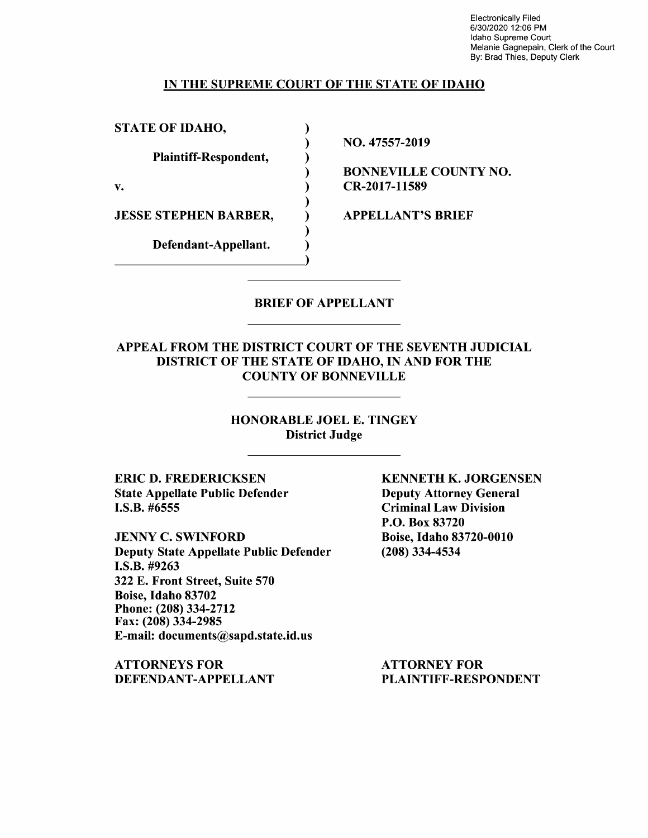Electronically Filed 6/30/2020 12:06 PM Idaho Supreme Court Melanie Gagnepain, Clerk of the Court By: Brad Thies, Deputy Clerk

## IN THE SUPREME COURT OF THE STATE OF IDAHO

) ) ) ) ) ) ) ) )

STATE OF IDAHO,

Plaintiff-Respondent,

v.

JESSE STEPHEN BARBER,

Defendant-Appellant. Defendant-Appellant. NO. 47557-2019

BONNEVILLE COUNTY NO. CR-2017-11589

APPELLANT'S BRIEF

# BRIEF OF APPELLANT

## APPEAL FROM THE DISTRICT COURT OF THE SEVENTH JUDICIAL DISTRICT OF THE STATE OF IDAHO, IN AND FOR THE COUNTY OF BONNEVILLE

HONORABLE JOEL E. TINGEY District Judge

ERIC D. FREDERICKSEN State Appellate Public Defender I.S.B. #6555

JENNY C. SWINFORD Deputy State Appellate Public Defender **I.S.B.** #9263 322 E. Front Street, Suite 570 Boise, Idaho 83702 Phone:(208)334-2712 Fax: (208) 334-2985 E-mail: documents@sapd.state.id.us

**ATTORNEYS FOR DEFENDANT-APPELLANT**  **KENNETH K. JORGENSEN**  Deputy Attorney General Criminal Law Division P.O. Box 83720 Boise, Idaho 83720-0010 (208) 334-4534

ATTORNEY FOR PLAINTIFF-RESPONDENT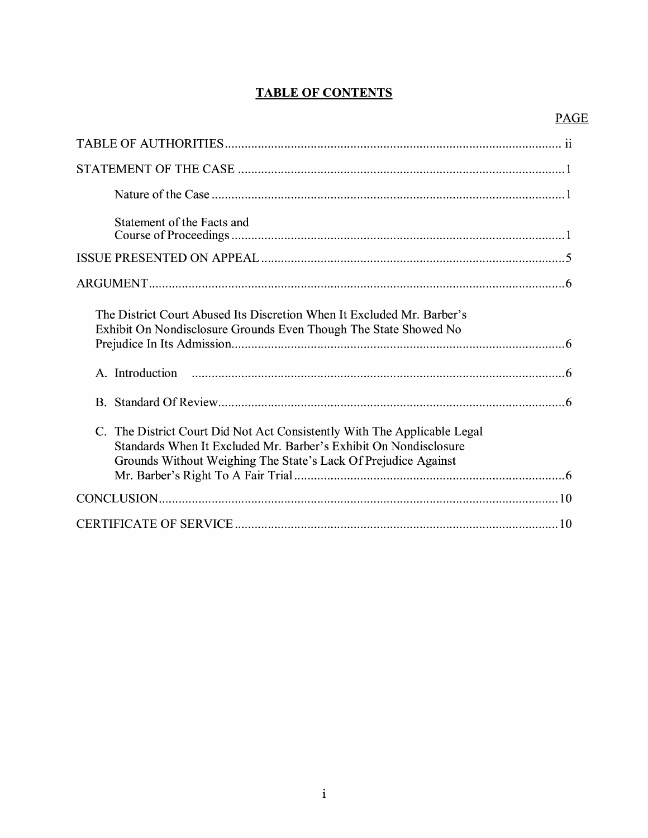# **TABLE OF CONTENTS**

# PAGE

| Statement of the Facts and                                                                                                                                                                                     |
|----------------------------------------------------------------------------------------------------------------------------------------------------------------------------------------------------------------|
|                                                                                                                                                                                                                |
|                                                                                                                                                                                                                |
| The District Court Abused Its Discretion When It Excluded Mr. Barber's<br>Exhibit On Nondisclosure Grounds Even Though The State Showed No                                                                     |
|                                                                                                                                                                                                                |
|                                                                                                                                                                                                                |
| C. The District Court Did Not Act Consistently With The Applicable Legal<br>Standards When It Excluded Mr. Barber's Exhibit On Nondisclosure<br>Grounds Without Weighing The State's Lack Of Prejudice Against |
|                                                                                                                                                                                                                |
|                                                                                                                                                                                                                |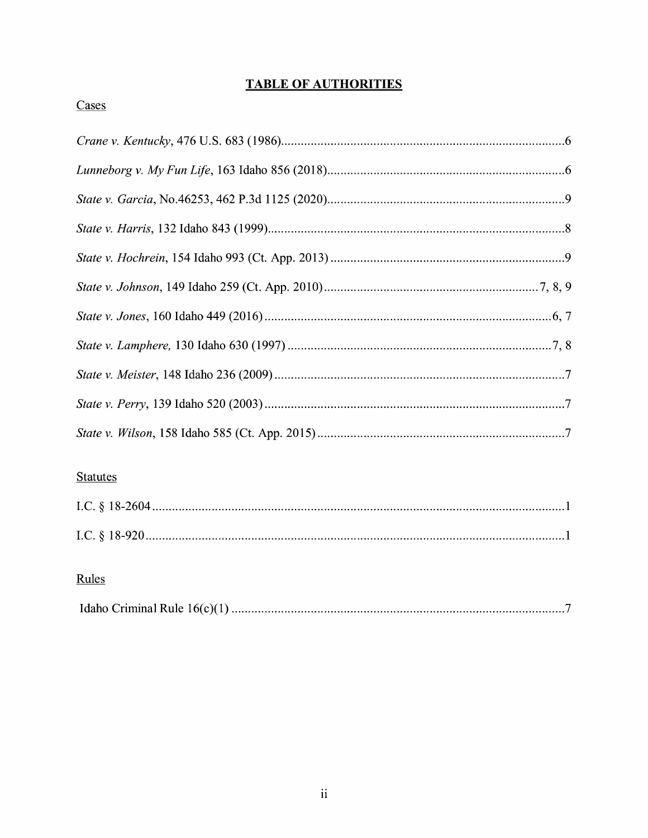# **TABLE OF AUTHORITIES**

# Cases

# **Statutes**

# Rules

|--|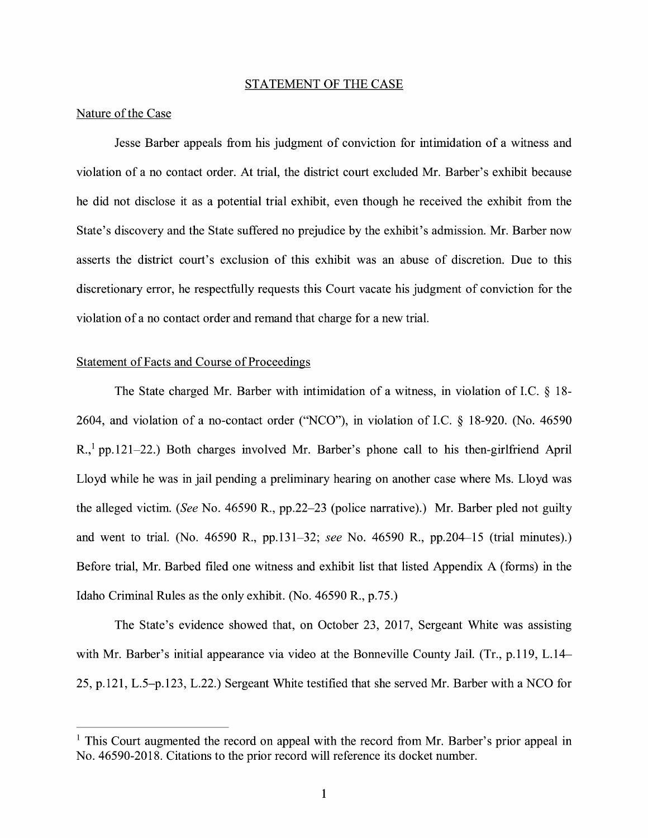#### STATEMENT OF THE CASE

### Nature of the Case

Jesse Barber appeals from his judgment of conviction for intimidation of a witness and violation of a no contact order. At trial, the district court excluded Mr. Barber's exhibit because he did not disclose it as a potential trial exhibit, even though he received the exhibit from the State's discovery and the State suffered no prejudice by the exhibit's admission. Mr. Barber now asserts the district court's exclusion of this exhibit was an abuse of discretion. Due to this discretionary error, he respectfully requests this Court vacate his judgment of conviction for the violation of a no contact order and remand that charge for a new trial.

### Statement of Facts and Course of Proceedings

The State charged Mr. Barber with intimidation of a witness, in violation of LC. § 18- 2604, and violation of a no-contact order ("NCO"), in violation of LC. § 18-920. (No. 46590  $R_{n}$ <sup>1</sup> pp.121–22.) Both charges involved Mr. Barber's phone call to his then-girlfriend April Lloyd while he was in jail pending a preliminary hearing on another case where Ms. Lloyd was the alleged victim. *(See* No. 46590 R., pp.22-23 (police narrative).) Mr. Barber pled not guilty and went to trial. (No. 46590 R., pp.131-32; *see* No. 46590 R., pp.204-15 (trial minutes).) Before trial, Mr. Barbed filed one witness and exhibit list that listed Appendix A (forms) in the Idaho Criminal Rules as the only exhibit. (No. 46590 R., p.75.)

The State's evidence showed that, on October 23, 2017, Sergeant White was assisting with Mr. Barber's initial appearance via video at the Bonneville County Jail. (Tr., p.119, L.14– 25, p.121, L.5-p.123, L.22.) Sergeant White testified that she served Mr. Barber with a NCO for

<sup>&</sup>lt;sup>1</sup> This Court augmented the record on appeal with the record from Mr. Barber's prior appeal in No. 46590-2018. Citations to the prior record will reference its docket number.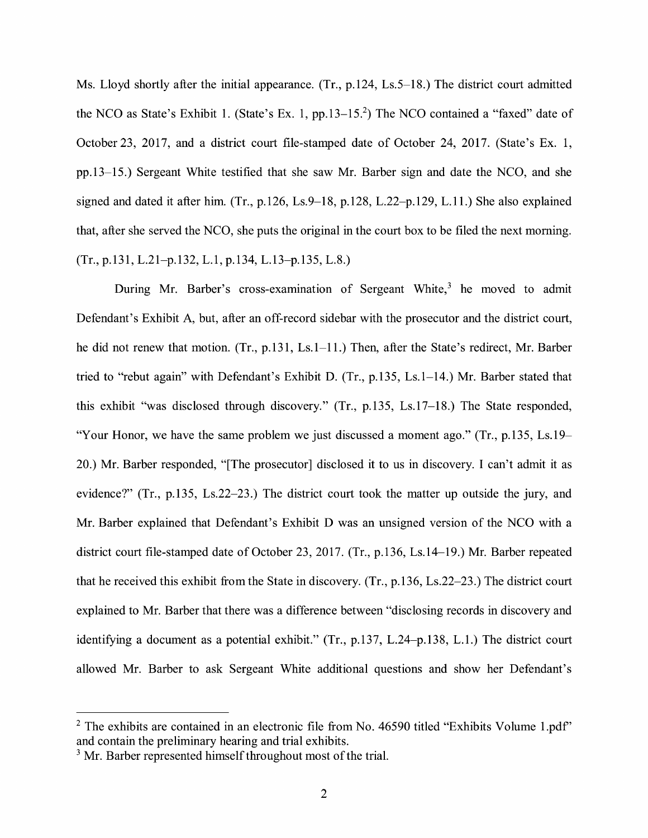Ms. Lloyd shortly after the initial appearance. (Tr., p.124, Ls.5–18.) The district court admitted the NCO as State's Exhibit 1. (State's Ex. 1, pp. 13–15.<sup>2</sup>) The NCO contained a "faxed" date of October 23, 2017, and a district court file-stamped date of October 24, 2017. (State's Ex. 1, pp.13-15.) Sergeant White testified that she saw Mr. Barber sign and date the NCO, and she signed and dated it after him. (Tr., p.126, Ls.9-18, p.128, L.22-p.129, L.11.) She also explained that, after she served the NCO, she puts the original in the court box to be filed the next morning. (Tr., p.131, L.21-p.132, L.1, p.134, L.13-p.135, L.8.)

During Mr. Barber's cross-examination of Sergeant White,<sup>3</sup> he moved to admit Defendant's Exhibit A, but, after an off-record sidebar with the prosecutor and the district court, he did not renew that motion. (Tr., p.131, Ls.1–11.) Then, after the State's redirect, Mr. Barber tried to "rebut again" with Defendant's Exhibit D. (Tr., p.135, Ls.1-14.) Mr. Barber stated that this exhibit "was disclosed through discovery." (Tr., p.135, Ls.17-18.) The State responded, "Your Honor, we have the same problem we just discussed a moment ago." (Tr., p.135, Ls.19- 20.) Mr. Barber responded, "[The prosecutor] disclosed it to us in discovery. I can't admit it as evidence?" (Tr., p.135, Ls.22-23.) The district court took the matter up outside the jury, and Mr. Barber explained that Defendant's Exhibit D was an unsigned version of the NCO with a district court file-stamped date of October 23, 2017. (Tr., p.136, Ls.14-19.) Mr. Barber repeated that he received this exhibit from the State in discovery. (Tr., p.136, Ls.22-23.) The district court explained to Mr. Barber that there was a difference between "disclosing records in discovery and identifying a document as a potential exhibit." (Tr., p.137, L.24-p.138, L.1.) The district court allowed Mr. Barber to ask Sergeant White additional questions and show her Defendant's

 $2$  The exhibits are contained in an electronic file from No. 46590 titled "Exhibits Volume 1.pdf" and contain the preliminary hearing and trial exhibits.

 $3$  Mr. Barber represented himself throughout most of the trial.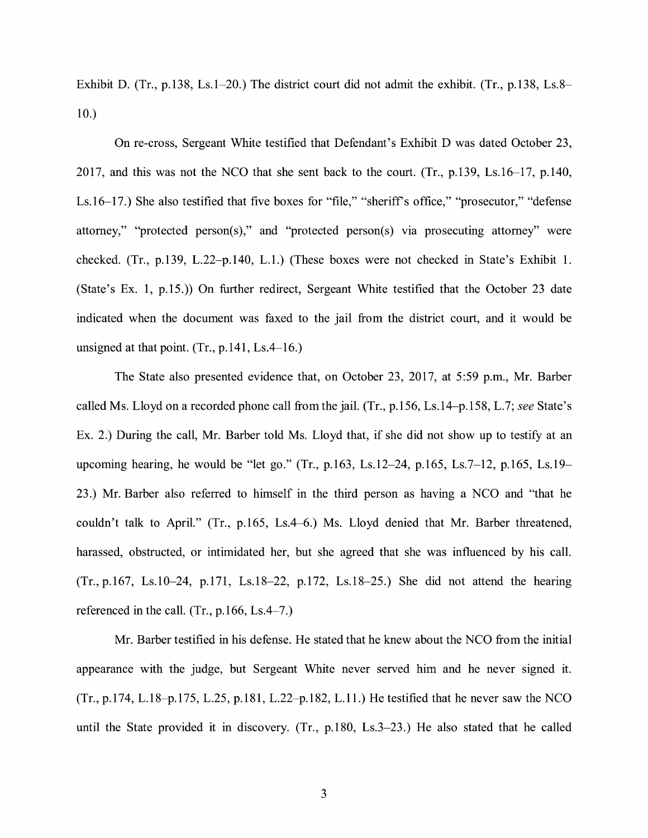Exhibit D. (Tr., p.138, Ls.1-20.) The district court did not admit the exhibit. (Tr., p.138, Ls.8- 10.)

On re-cross, Sergeant White testified that Defendant's Exhibit D was dated October 23, 2017, and this was not the NCO that she sent back to the court. (Tr., p.139, Ls.16-17, p.140, Ls.16-17.) She also testified that five boxes for "file," "sheriff's office," "prosecutor," "defense attorney," "protected person(s)," and "protected person(s) via prosecuting attorney" were checked. (Tr., p.139, L.22-p.140, L.1.) (These boxes were not checked in State's Exhibit 1. (State's Ex. 1, p.15.)) On further redirect, Sergeant White testified that the October 23 date indicated when the document was faxed to the jail from the district court, and it would be unsigned at that point.  $(Tr, p.141, Ls.4-16.)$ 

The State also presented evidence that, on October 23, 2017, at 5:59 p.m., Mr. Barber called Ms. Lloyd on a recorded phone call from the jail. (Tr., p.156, Ls.14-p.158, L.7; *see* State's Ex. 2.) During the call, Mr. Barber told Ms. Lloyd that, if she did not show up to testify at an upcoming hearing, he would be "let go." (Tr., p.163, Ls.12-24, p.165, Ls.7-12, p.165, Ls.19- 23.) Mr. Barber also referred to himself in the third person as having a NCO and "that he couldn't talk to April." (Tr., p.165, Ls.4-6.) Ms. Lloyd denied that Mr. Barber threatened, harassed, obstructed, or intimidated her, but she agreed that she was influenced by his call. (Tr., p.167, Ls.10-24, p.171, Ls.18-22, p.172, Ls.18-25.) She did not attend the hearing referenced in the call. (Tr., p.166, Ls.4-7.)

Mr. Barber testified in his defense. He stated that he knew about the NCO from the initial appearance with the judge, but Sergeant White never served him and he never signed it. (Tr., p.174, L.18-p.175, L.25, p.181, L.22-p.182, L.11.) He testified that he never saw the NCO until the State provided it in discovery. (Tr., p.180, Ls.3-23.) He also stated that he called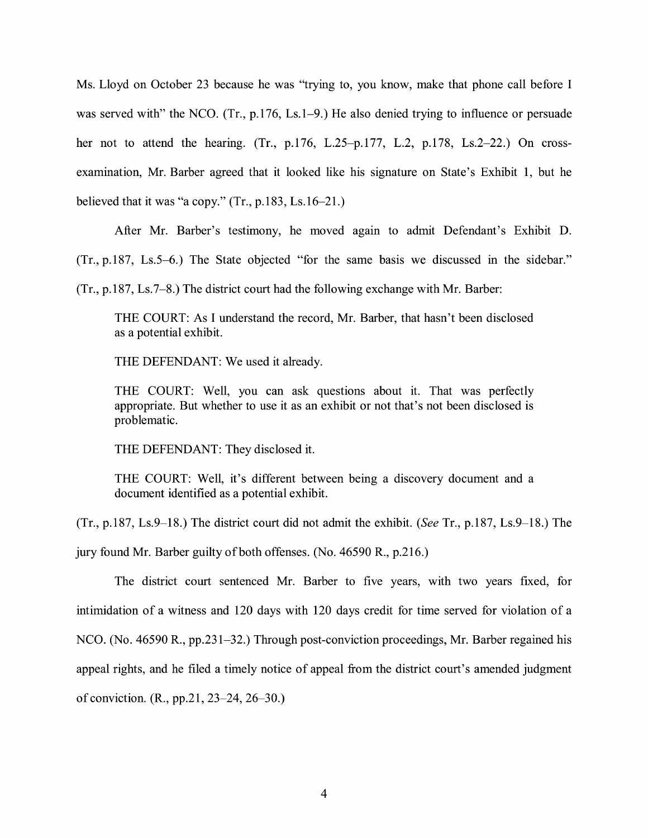Ms. Lloyd on October 23 because he was "trying to, you know, make that phone call before I was served with" the NCO. (Tr., p.176, Ls.1–9.) He also denied trying to influence or persuade her not to attend the hearing. (Tr., p.176, L.25-p.177, L.2, p.178, Ls.2-22.) On crossexamination, Mr. Barber agreed that it looked like his signature on State's Exhibit 1, but he believed that it was "a copy."  $(Tr., p.183, Ls.16-21.)$ 

After Mr. Barber's testimony, he moved agam to admit Defendant's Exhibit D.

(Tr., p.187, Ls.5-6.) The State objected "for the same basis we discussed in the sidebar."

(Tr., p.187, Ls.7-8.) The district court had the following exchange with Mr. Barber:

THE COURT: As I understand the record, Mr. Barber, that hasn't been disclosed as a potential exhibit.

THE DEFENDANT: We used it already.

THE COURT: Well, you can ask questions about it. That was perfectly appropriate. But whether to use it as an exhibit or not that's not been disclosed is problematic.

THE DEFENDANT: They disclosed it.

THE COURT: Well, it's different between being a discovery document and a document identified as a potential exhibit.

(Tr., p.187, Ls.9-18.) The district court did not admit the exhibit. (See Tr., p.187, Ls.9-18.) The jury found Mr. Barber guilty of both offenses. (No. 46590 R., p.216.)

The district court sentenced Mr. Barber to five years, with two years fixed, for intimidation of a witness and 120 days with 120 days credit for time served for violation of a NCO. (No. 46590 R., pp.231-32.) Through post-conviction proceedings, Mr. Barber regained his appeal rights, and he filed a timely notice of appeal from the district court's amended judgment of conviction. (R., pp.21, 23-24, 26-30.)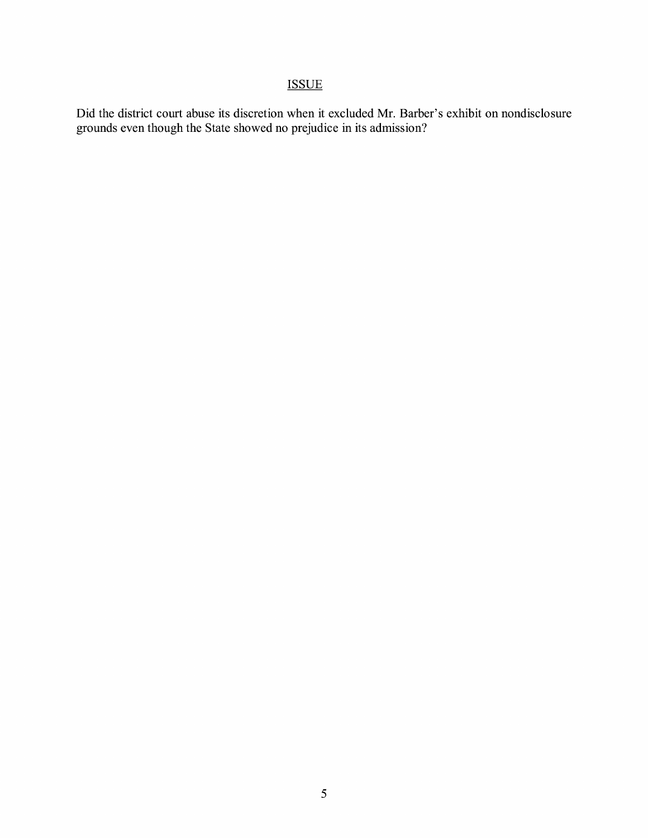# ISSUE

Did the district court abuse its discretion when it excluded Mr. Barber's exhibit on nondisclosure grounds even though the State showed no prejudice in its admission?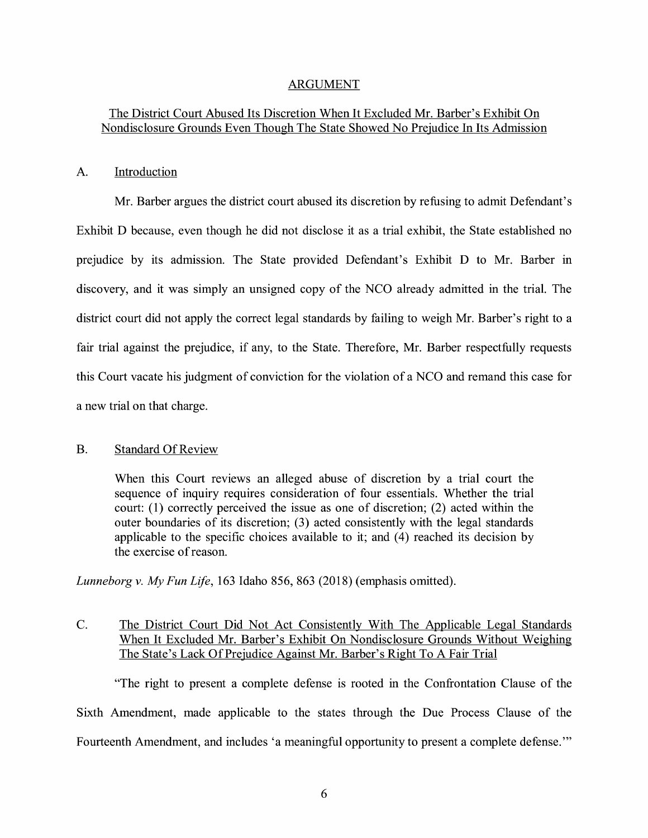## ARGUMENT

# The District Court Abused Its Discretion When It Excluded Mr. Barber's Exhibit On Nondisclosure Grounds Even Though The State Showed No Prejudice In Its Admission

## A. Introduction

Mr. Barber argues the district court abused its discretion by refusing to admit Defendant's Exhibit D because, even though he did not disclose it as a trial exhibit, the State established no prejudice by its admission. The State provided Defendant's Exhibit D to Mr. Barber in discovery, and it was simply an unsigned copy of the NCO already admitted in the trial. The district court did not apply the correct legal standards by failing to weigh Mr. Barber's right to a fair trial against the prejudice, if any, to the State. Therefore, Mr. Barber respectfully requests this Court vacate his judgment of conviction for the violation of a NCO and remand this case for a new trial on that charge.

### B. Standard Of Review

When this Court reviews an alleged abuse of discretion by a trial court the sequence of inquiry requires consideration of four essentials. Whether the trial court: (1) correctly perceived the issue as one of discretion; (2) acted within the outer boundaries of its discretion; (3) acted consistently with the legal standards applicable to the specific choices available to it; and  $(4)$  reached its decision by the exercise of reason.

*Lunneborg v. My Fun Life,* 163 Idaho 856, 863 (2018) (emphasis omitted).

# C. The District Court Did Not Act Consistently With The Applicable Legal Standards When It Excluded Mr. Barber's Exhibit On Nondisclosure Grounds Without Weighing The State's Lack Of Prejudice Against Mr. Barber's Right To A Fair Trial

"The right to present a complete defense is rooted in the Confrontation Clause of the Sixth Amendment, made applicable to the states through the Due Process Clause of the Fourteenth Amendment, and includes 'a meaningful opportunity to present a complete defense."'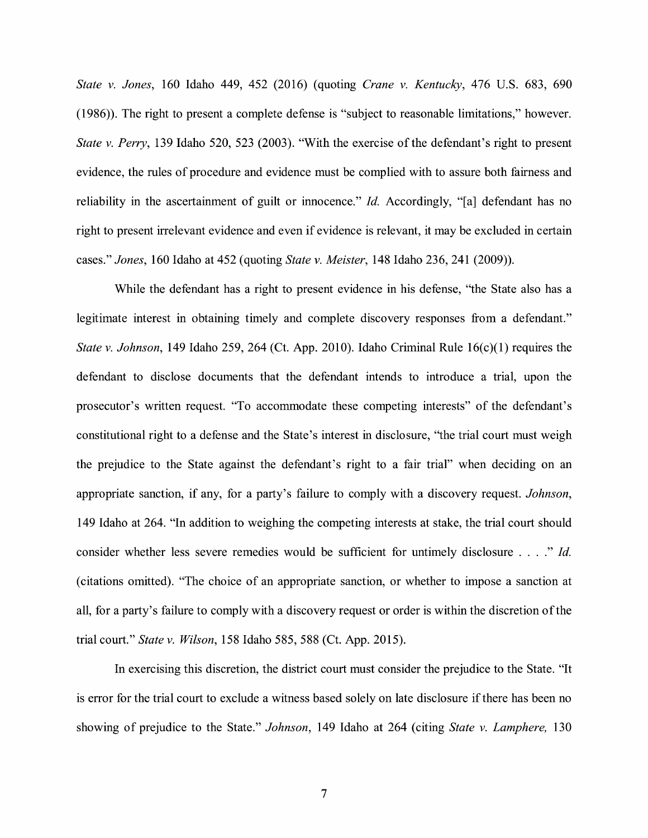*State v. Jones,* 160 Idaho 449, 452 (2016) (quoting *Crane v. Kentucky,* 476 U.S. 683, 690 (1986)). The right to present a complete defense is "subject to reasonable limitations," however. *State v. Perry,* 139 Idaho 520, 523 (2003). "With the exercise of the defendant's right to present evidence, the rules of procedure and evidence must be complied with to assure both fairness and reliability in the ascertainment of guilt or innocence." *Id.* Accordingly, "[a] defendant has no right to present irrelevant evidence and even if evidence is relevant, it may be excluded in certain cases." *Jones,* 160 Idaho at 452 (quoting *State v. Meister,* 148 Idaho 236, 241 (2009)).

While the defendant has a right to present evidence in his defense, "the State also has a legitimate interest in obtaining timely and complete discovery responses from a defendant." *State v. Johnson,* 149 Idaho 259, 264 (Ct. App. 2010). Idaho Criminal Rule 16(c)(1) requires the defendant to disclose documents that the defendant intends to introduce a trial, upon the prosecutor's written request. "To accommodate these competing interests" of the defendant's constitutional right to a defense and the State's interest in disclosure, "the trial court must weigh the prejudice to the State against the defendant's right to a fair trial" when deciding on an appropriate sanction, if any, for a party's failure to comply with a discovery request. *Johnson,*  149 Idaho at 264. "In addition to weighing the competing interests at stake, the trial court should consider whether less severe remedies would be sufficient for untimely disclosure .... " *Id.*  ( citations omitted). "The choice of an appropriate sanction, or whether to impose a sanction at all, for a party's failure to comply with a discovery request or order is within the discretion of the trial court." *State v. Wilson,* 158 Idaho 585, 588 (Ct. App. 2015).

In exercising this discretion, the district court must consider the prejudice to the State. "It is error for the trial court to exclude a witness based solely on late disclosure if there has been no showing of prejudice to the State." *Johnson,* 149 Idaho at 264 (citing *State v. Lamphere,* 130

7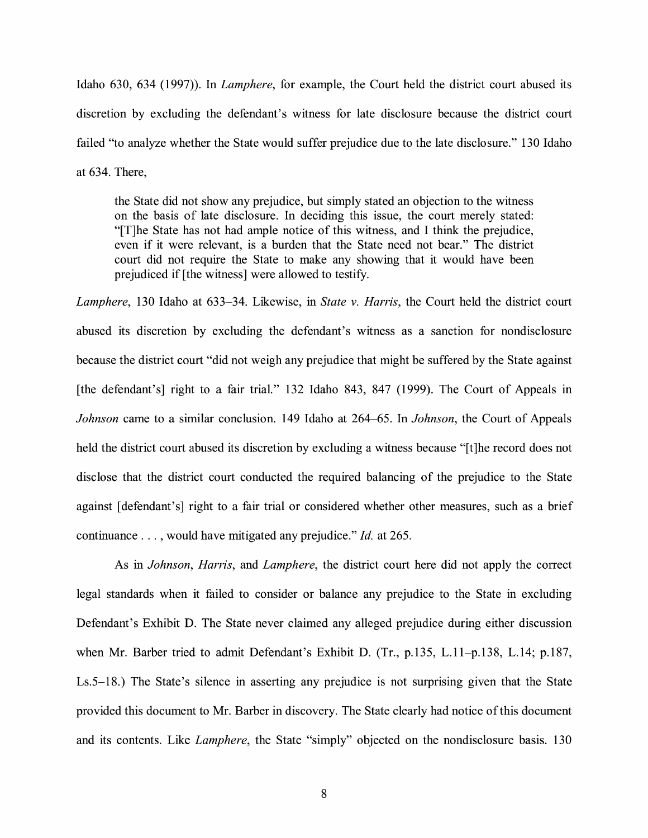Idaho 630, 634 (1997)). In *Lamphere,* for example, the Court held the district court abused its discretion by excluding the defendant's witness for late disclosure because the district court failed "to analyze whether the State would suffer prejudice due to the late disclosure." 130 Idaho at 634. There,

the State did not show any prejudice, but simply stated an objection to the witness on the basis of late disclosure. In deciding this issue, the court merely stated: "[T]he State has not had ample notice of this witness, and I think the prejudice, even if it were relevant, is a burden that the State need not bear." The district court did not require the State to make any showing that it would have been prejudiced if [the witness] were allowed to testify.

*Lamphere,* 130 Idaho at 633-34. Likewise, in *State v. Harris,* the Court held the district court abused its discretion by excluding the defendant's witness as a sanction for nondisclosure because the district court "did not weigh any prejudice that might be suffered by the State against [the defendant's] right to a fair trial." 132 Idaho 843, 847 (1999). The Court of Appeals in *Johnson* came to a similar conclusion. 149 Idaho at 264-65. In *Johnson,* the Court of Appeals held the district court abused its discretion by excluding a witness because "[t]he record does not disclose that the district court conducted the required balancing of the prejudice to the State against [defendant's] right to a fair trial or considered whether other measures, such as a brief continuance ... , would have mitigated any prejudice." *Id.* at 265.

As in *Johnson, Harris,* and *Lamphere,* the district court here did not apply the correct legal standards when it failed to consider or balance any prejudice to the State in excluding Defendant's Exhibit D. The State never claimed any alleged prejudice during either discussion when Mr. Barber tried to admit Defendant's Exhibit D. (Tr., p.135, L.ll-p.138, L.14; p.187, Ls.5-18.) The State's silence in asserting any prejudice is not surprising given that the State provided this document to Mr. Barber in discovery. The State clearly had notice of this document and its contents. Like *Lamphere,* the State "simply" objected on the nondisclosure basis. 130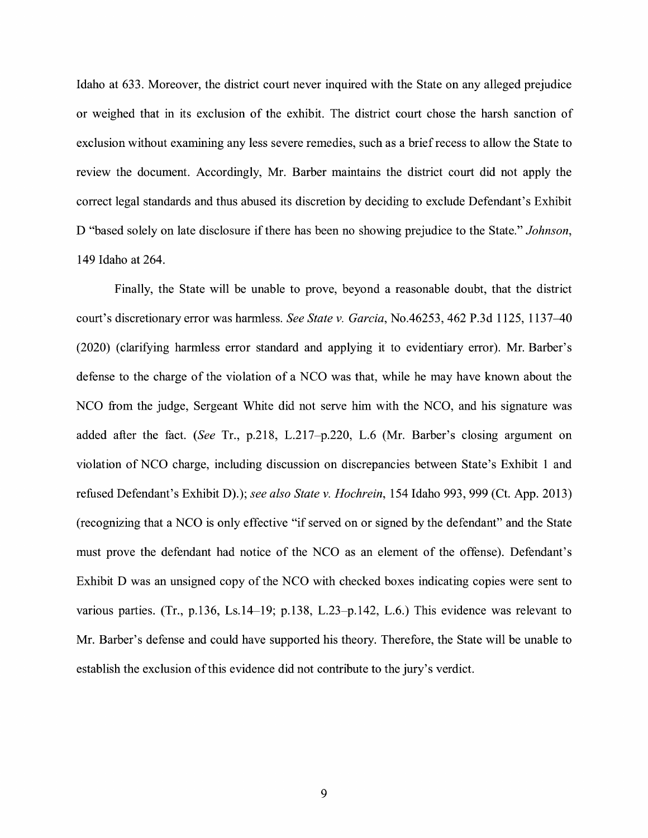Idaho at 633. Moreover, the district court never inquired with the State on any alleged prejudice or weighed that in its exclusion of the exhibit. The district court chose the harsh sanction of exclusion without examining any less severe remedies, such as a brief recess to allow the State to review the document. Accordingly, Mr. Barber maintains the district court did not apply the correct legal standards and thus abused its discretion by deciding to exclude Defendant's Exhibit D "based solely on late disclosure if there has been no showing prejudice to the State." *Johnson*, 149 Idaho at 264.

Finally, the State will be unable to prove, beyond a reasonable doubt, that the district court's discretionary error was harmless. *See State v. Garcia,* No.46253, 462 P.3d 1125, 1137-40 (2020) (clarifying harmless error standard and applying it to evidentiary error). Mr. Barber's defense to the charge of the violation of a NCO was that, while he may have known about the NCO from the judge, Sergeant White did not serve him with the NCO, and his signature was added after the fact. *(See* Tr., p.218, L.217-p.220, L.6 (Mr. Barber's closing argument on violation of NCO charge, including discussion on discrepancies between State's Exhibit 1 and refused Defendant's Exhibit D).); *see also State v. Hochrein,* 154 Idaho 993, 999 (Ct. App. 2013) (recognizing that a NCO is only effective "if served on or signed by the defendant" and the State must prove the defendant had notice of the NCO as an element of the offense). Defendant's Exhibit D was an unsigned copy of the NCO with checked boxes indicating copies were sent to various parties. (Tr., p.136, Ls.14-19; p.138, L.23-p.142, L.6.) This evidence was relevant to Mr. Barber's defense and could have supported his theory. Therefore, the State will be unable to establish the exclusion of this evidence did not contribute to the jury's verdict.